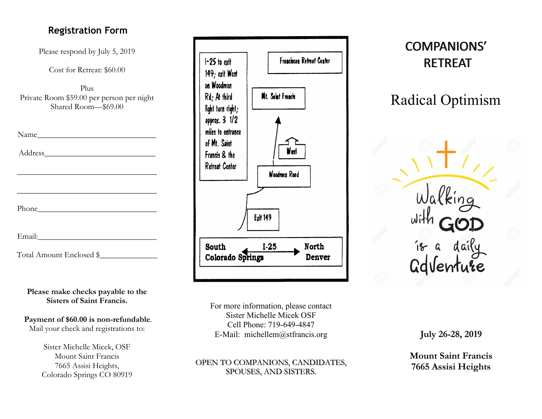# **Registration Form**

Please respond by July 5, 2019

Cost for Retreat: \$60.00

Plus Private Room \$59.00 per person per night Shared Room—\$69.00

\_\_\_\_\_\_\_\_\_\_\_\_\_\_\_\_\_\_\_\_\_\_\_\_\_\_\_\_\_\_\_\_\_\_

\_\_\_\_\_\_\_\_\_\_\_\_\_\_\_\_\_\_\_\_\_\_\_\_\_\_\_\_\_\_\_\_\_\_

| Name |  |  |  |  |  |  |
|------|--|--|--|--|--|--|
|      |  |  |  |  |  |  |

Address\_\_\_\_\_\_\_\_\_\_\_\_\_\_\_\_\_\_\_\_\_\_\_\_\_\_\_

Phone

Email:\_\_\_\_\_\_\_\_\_\_\_\_\_\_\_\_\_\_\_\_\_\_\_\_\_\_\_\_\_

Total Amount Enclosed \$\_\_\_\_\_\_\_\_\_\_\_\_\_\_

**Please make checks payable to the Sisters of Saint Francis.**

**Payment of \$60.00 is non-refundable**. Mail your check and registrations to:

> Sister Michelle Micek, OSF Mount Saint Francis 7665 Assisi Heights, Colorado Springs CO 80919



For more information, please contact Sister Michelle Micek OSF Cell Phone: 719-649-4847 E-Mail: michellem@stfrancis.org

### OPEN TO COMPANIONS, CANDIDATES, SPOUSES, AND SISTERS.

# COMPANIONS' **RETREAT**

Radical Optimism

GdVenture

**July 26-28, 2019**

**Mount Saint Francis 7665 Assisi Heights**